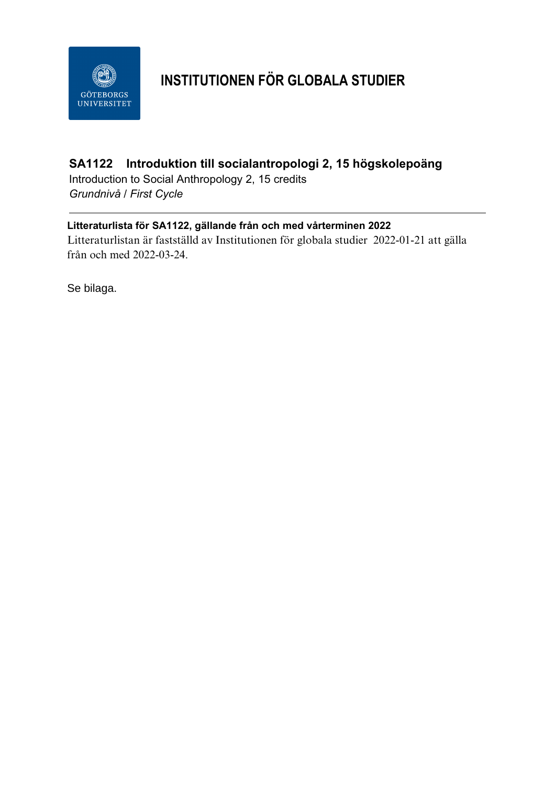

# **INSTITUTIONEN FÖR GLOBALA STUDIER**

## **SA1122 Introduktion till socialantropologi 2, 15 högskolepoäng**

Introduction to Social Anthropology 2, 15 credits *Grundnivå / First Cycle*

### **Litteraturlista för SA1122, gällande från och med vårterminen 2022**

Litteraturlistan är fastställd av Institutionen för globala studier 2022-01-21 att gälla från och med 2022-03-24.

Se bilaga.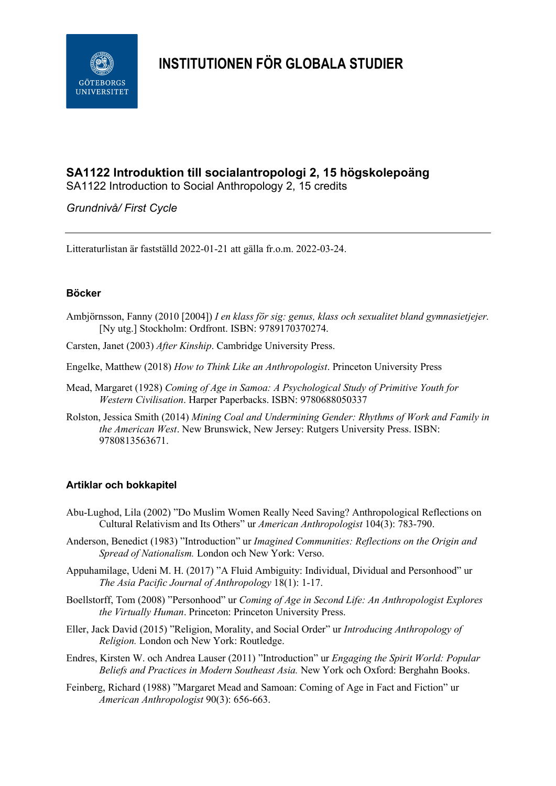

## **INSTITUTIONEN FÖR GLOBALA STUDIER**

## **SA1122 Introduktion till socialantropologi 2, 15 högskolepoäng**

SA1122 Introduction to Social Anthropology 2, 15 credits

#### *Grundnivå/ First Cycle*

Litteraturlistan är fastställd 2022-01-21 att gälla fr.o.m. 2022-03-24.

#### **Böcker**

- Ambjörnsson, Fanny (2010 [2004]) *I en klass för sig: genus, klass och sexualitet bland gymnasietjejer.*  [Ny utg.] Stockholm: Ordfront. ISBN: 9789170370274.
- Carsten, [Janet \(](https://www.bokus.com/cgi-bin/product_search.cgi?authors=Janet%20Carsten)2003) *After Kinship*. Cambridge University Press.
- Engelke, Matthew (2018) *How to Think Like an Anthropologist*. Princeton University Press
- Mead, Margaret (1928) *Coming of Age in Samoa: A Psychological Study of Primitive Youth for Western Civilisation*. Harper Paperbacks. ISBN: 9780688050337
- Rolston, Jessica Smith (2014) *Mining Coal and Undermining Gender: Rhythms of Work and Family in the American West*. New Brunswick, New Jersey: Rutgers University Press. ISBN: 9780813563671.

#### **Artiklar och bokkapitel**

- Abu-Lughod, Lila (2002) "Do Muslim Women Really Need Saving? Anthropological Reflections on Cultural Relativism and Its Others" ur *American Anthropologist* 104(3): 783-790.
- Anderson, Benedict (1983) "Introduction" ur *Imagined Communities: Reflections on the Origin and Spread of Nationalism.* London och New York: Verso.
- Appuhamilage, Udeni M. H. (2017) "A Fluid Ambiguity: Individual, Dividual and Personhood" ur *The Asia Pacific Journal of Anthropology* 18(1): 1-17.
- Boellstorff, Tom (2008) "Personhood" ur *Coming of Age in Second Life: An Anthropologist Explores the Virtually Human*. Princeton: Princeton University Press.
- Eller, Jack David (2015) "Religion, Morality, and Social Order" ur *Introducing Anthropology of Religion.* London och New York: Routledge.
- Endres, Kirsten W. och Andrea Lauser (2011) "Introduction" ur *Engaging the Spirit World: Popular Beliefs and Practices in Modern Southeast Asia.* New York och Oxford: Berghahn Books.
- Feinberg, Richard (1988) "Margaret Mead and Samoan: Coming of Age in Fact and Fiction" ur *American Anthropologist* 90(3): 656-663.